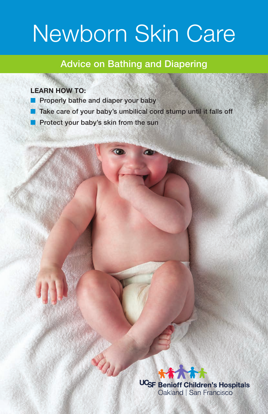## Newborn Skin Care

#### Advice on Bathing and Diapering

#### **LEARN HOW TO:**

- Properly bathe and diaper your baby
- Take care of your baby's umbilical cord stump until it falls off
	- Protect your baby's skin from the sun

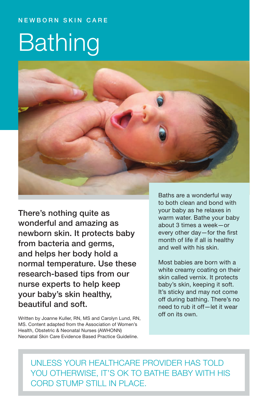#### **NEWBORN SKIN CARE**

# Bathing



There's nothing quite as wonderful and amazing as newborn skin. It protects baby from bacteria and germs, and helps her body hold a normal temperature. Use these research-based tips from our nurse experts to help keep your baby's skin healthy, beautiful and soft.

Written by Joanne Kuller, RN, MS and Carolyn Lund, RN, MS. Content adapted from the Association of Women's Health, Obstetric & Neonatal Nurses (AWHONN) Neonatal Skin Care Evidence Based Practice Guideline.

Baths are a wonderful way to both clean and bond with your baby as he relaxes in warm water. Bathe your baby about 3 times a week—or every other day—for the first month of life if all is healthy and well with his skin.

Most babies are born with a white creamy coating on their skin called vernix. It protects baby's skin, keeping it soft. It's sticky and may not come off during bathing. There's no need to rub it off—let it wear off on its own.

UNI FSS YOUR HEALTHCARE PROVIDER HAS TOLD YOU OTHERWISE, IT'S OK TO BATHE BABY WITH HIS cord stump still in place.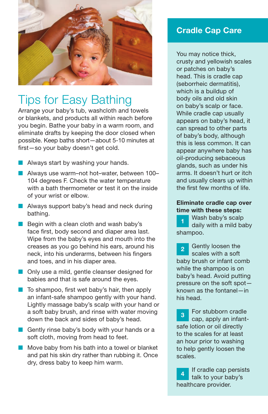

### Tips for Easy Bathing

Arrange your baby's tub, washcloth and towels or blankets, and products all within reach before you begin. Bathe your baby in a warm room, and eliminate drafts by keeping the door closed when possible. Keep baths short—about 5-10 minutes at first—so your baby doesn't get cold.



- Always use warm–not hot–water, between 100– 104 degrees F. Check the water temperature with a bath thermometer or test it on the inside of your wrist or elbow.
- Always support baby's head and neck during bathing.
- Begin with a clean cloth and wash baby's face first, body second and diaper area last. Wipe from the baby's eyes and mouth into the creases as you go behind his ears, around his neck, into his underarms, between his fingers and toes, and in his diaper area.
- Only use a mild, gentle cleanser designed for babies and that is safe around the eyes.
- To shampoo, first wet baby's hair, then apply an infant-safe shampoo gently with your hand. Lightly massage baby's scalp with your hand or a soft baby brush, and rinse with water moving down the back and sides of baby's head.
- Gently rinse baby's body with your hands or a soft cloth, moving from head to feet.
- Move baby from his bath into a towel or blanket and pat his skin dry rather than rubbing it. Once dry, dress baby to keep him warm.

#### Cradle Cap Care

You may notice thick, crusty and yellowish scales or patches on baby's head. This is cradle cap (seborrheic dermatitis), which is a buildup of body oils and old skin on baby's scalp or face. While cradle cap usually appears on baby's head, it can spread to other parts of baby's body, although this is less common. It can appear anywhere baby has oil-producing sebaceous glands, such as under his arms. It doesn't hurt or itch and usually clears up within the first few months of life.

#### Eliminate cradle cap over time with these steps:

Wash baby's scalp daily with a mild baby shampoo. 1

Gently loosen the scales with a soft baby brush or infant comb while the shampoo is on baby's head. Avoid putting pressure on the soft spot known as the fontanel—in his head.  $\mathbf{p}$ 

For stubborn cradle cap, apply an infantsafe lotion or oil directly to the scales for at least an hour prior to washing to help gently loosen the scales. 3

If cradle cap persists talk to your baby's healthcare provider. 4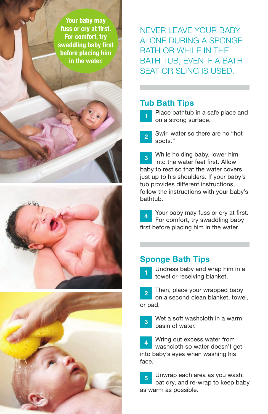Your baby may fuss or cry at first. For comfort, try swaddling baby first before placing him in the water.

NEVER LEAVE YOUR BABY alone during a sponge BATH OR WHII F IN THE bath tub, even if a bath seat or sling is used.

#### Tub Bath Tips

Place bathtub in a safe place and on a strong surface. 1

Swirl water so there are no "hot spots." 2

While holding baby, lower him into the water feet first. Allow baby to rest so that the water covers just up to his shoulders. If your baby's tub provides different instructions, follow the instructions with your baby's bathtub. 3

Your baby may fuss or cry at first. For comfort, try swaddling baby first before placing him in the water. 4

#### Sponge Bath Tips



Undress baby and wrap him in a towel or receiving blanket.

Then, place your wrapped baby on a second clean blanket, towel, or pad.  $\overline{2}$ 

Wet a soft washcloth in a warm basin of water. 3

Wring out excess water from washcloth so water doesn't get into baby's eyes when washing his face. 4

Unwrap each area as you wash, pat dry, and re-wrap to keep baby as warm as possible. 5



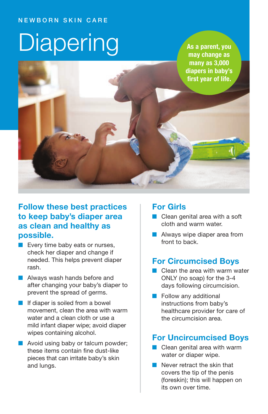#### **NEWBORN SKIN CARE**

# **Diapering**

As a parent, you may change as many as 3,000 diapers in baby's first year of life.

#### Follow these best practices to keep baby's diaper area as clean and healthy as possible.

- Every time baby eats or nurses, check her diaper and change if needed. This helps prevent diaper rash.
- Always wash hands before and after changing your baby's diaper to prevent the spread of germs.
- If diaper is soiled from a bowel movement, clean the area with warm water and a clean cloth or use a mild infant diaper wipe; avoid diaper wipes containing alcohol.
- Avoid using baby or talcum powder; these items contain fine dust-like pieces that can irritate baby's skin and lungs.

#### For Girls

- Clean genital area with a soft cloth and warm water.
- Always wipe diaper area from front to back.

#### For Circumcised Boys

- Clean the area with warm water ONLY (no soap) for the 3-4 days following circumcision.
- Follow any additional instructions from baby's healthcare provider for care of the circumcision area.

#### For Uncircumcised Boys

- Clean genital area with warm water or diaper wipe.
- Never retract the skin that covers the tip of the penis (foreskin); this will happen on its own over time.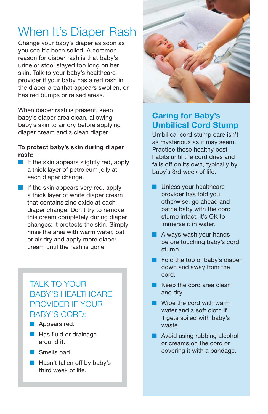## When It's Diaper Rash

Change your baby's diaper as soon as you see it's been soiled. A common reason for diaper rash is that baby's urine or stool stayed too long on her skin. Talk to your baby's healthcare provider if your baby has a red rash in the diaper area that appears swollen, or has red bumps or raised areas.

When diaper rash is present, keep baby's diaper area clean, allowing baby's skin to air dry before applying diaper cream and a clean diaper.

#### To protect baby's skin during diaper rash:

- If the skin appears slightly red, apply a thick layer of petroleum jelly at each diaper change.
- If the skin appears very red, apply a thick layer of white diaper cream that contains zinc oxide at each diaper change. Don't try to remove this cream completely during diaper changes; it protects the skin. Simply rinse the area with warm water, pat or air dry and apply more diaper cream until the rash is gone.

#### TALK TO YOUR **BABY'S HEALTHCARE** provider if your BABY'S CORD:

■ Appears red.

- Has fluid or drainage around it.
- Smells had.
- Hasn't fallen off by baby's third week of life.



#### Caring for Baby's Umbilical Cord Stump

Umbilical cord stump care isn't as mysterious as it may seem. Practice these healthy best habits until the cord dries and falls off on its own, typically by baby's 3rd week of life.

- Unless your healthcare provider has told you otherwise, go ahead and bathe baby with the cord stump intact; it's OK to immerse it in water.
- Always wash your hands before touching baby's cord stump.
- Fold the top of baby's diaper down and away from the cord.
- Keep the cord area clean and dry.
- Wipe the cord with warm water and a soft cloth if it gets soiled with baby's waste.
- Avoid using rubbing alcohol or creams on the cord or covering it with a bandage.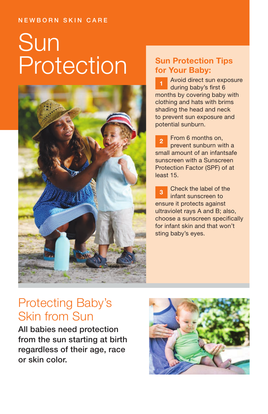#### **NEWBORN SKIN CARE**

## Sun Protection



#### Sun Protection Tips for Your Baby:

Avoid direct sun exposure during baby's first 6 months by covering baby with clothing and hats with brims shading the head and neck to prevent sun exposure and potential sunburn.

From 6 months on, prevent sunburn with a small amount of an infantsafe sunscreen with a Sunscreen Protection Factor (SPF) of at least 15. 2

Check the label of the infant sunscreen to ensure it protects against ultraviolet rays A and B; also, choose a sunscreen specifically for infant skin and that won't sting baby's eyes. 3

### Protecting Baby's Skin from Sun

All babies need protection from the sun starting at birth regardless of their age, race or skin color.